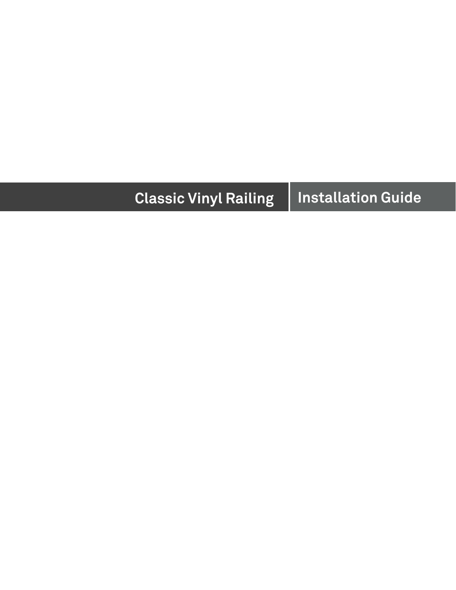# **Classic Vinyl Railing Installation Guide**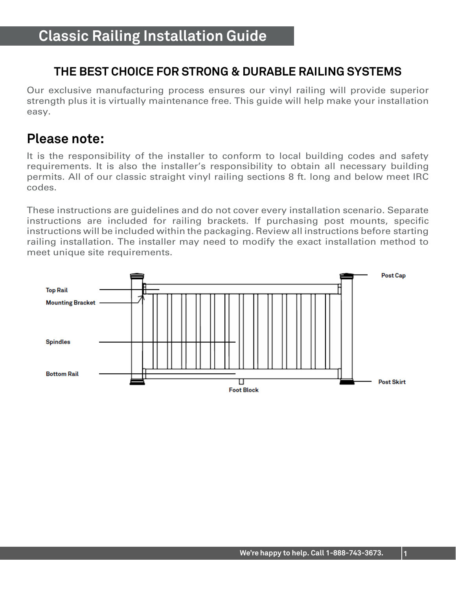#### **THE BEST CHOICE FOR STRONG & DURABLE RAILING SYSTEMS**

Our exclusive manufacturing process ensures our vinyl railing will provide superior strength plus it is virtually maintenance free. This guide will help make your installation easy.

#### **Please note:**

It is the responsibility of the installer to conform to local building codes and safety requirements. It is also the installer's responsibility to obtain all necessary building permits. All of our classic straight vinyl railing sections 8 ft. long and below meet IRC codes.

These instructions are guidelines and do not cover every installation scenario. Separate instructions are included for railing brackets. If purchasing post mounts, specific instructions will be included within the packaging. Review all instructions before starting railing installation. The installer may need to modify the exact installation method to meet unique site requirements.

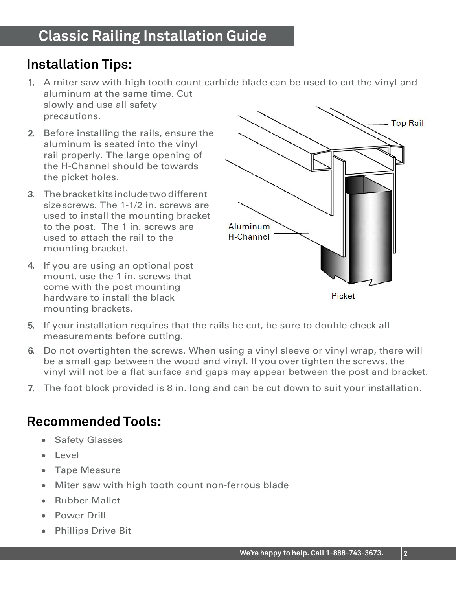### **Installation Tips:**

- 1. A miter saw with high tooth count carbide blade can be used to cut the vinyl and aluminum at the same time. Cut slowly and use all safety precautions.
- 2. Before installing the rails, ensure the aluminum is seated into the vinyl rail properly. The large opening of the H-Channel should be towards the picket holes.
- 3. Thebracket kits includetwodifferent sizescrews. The 1-1/2 in. screws are used to install the mounting bracket to the post. The 1 in. screws are used to attach the rail to the mounting bracket.
- 4. If you are using an optional post mount, use the 1 in. screws that come with the post mounting hardware to install the black mounting brackets.



- 5. If your installation requires that the rails be cut, be sure to double check all measurements before cutting.
- 6. Do not overtighten the screws. When using a vinyl sleeve or vinyl wrap, there will be a small gap between the wood and vinyl. If you over tighten the screws, the vinyl will not be a flat surface and gaps may appear between the post and bracket.
- 7. The foot block provided is 8 in. long and can be cut down to suit your installation.

#### **Recommended Tools:**

- Safety Glasses
- Level
- Tape Measure
- Miter saw with high tooth count non-ferrous blade
- Rubber Mallet
- Power Drill
- Phillips Drive Bit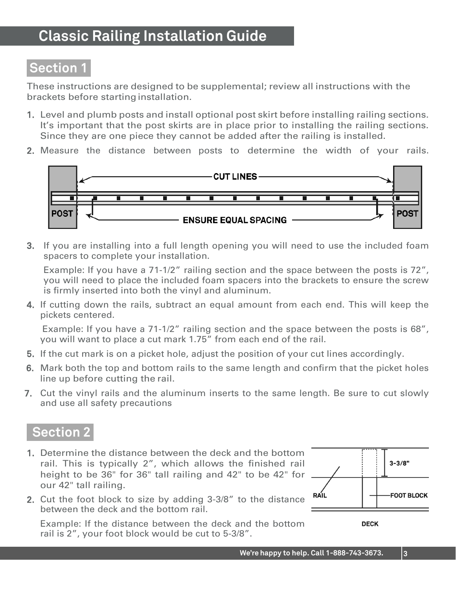### **Classic Railing Installation Guide**

#### **Section 1**

These instructions are designed to be supplemental; review all instructions with the brackets before starting installation.

- 1. Level and plumb posts and install optional post skirt before installing railing sections. It's important that the post skirts are in place prior to installing the railing sections. Since they are one piece they cannot be added after the railing is installed.
- 2. Measure the distance between posts to determine the width of your rails.



3. If you are installing into a full length opening you will need to use the included foam spacers to complete your installation.

Example: If you have a 71-1/2" railing section and the space between the posts is 72", you will need to place the included foam spacers into the brackets to ensure the screw is firmly inserted into both the vinyl and aluminum.

4. If cutting down the rails, subtract an equal amount from each end. This will keep the pickets centered.

 Example: If you have a 71-1/2" railing section and the space between the posts is 68", you will want to place a cut mark 1.75" from each end of the rail.

- 5. If the cut mark is on a picket hole, adjust the position of your cut lines accordingly.
- 6. Mark both the top and bottom rails to the same length and confirm that the picket holes line up before cutting the rail.
- 7. Cut the vinyl rails and the aluminum inserts to the same length. Be sure to cut slowly and use all safety precautions

#### **Section 2**

- 1. Determine the distance between the deck and the bottom rail. This is typically 2", which allows the finished rail height to be 36" for 36" tall railing and 42" to be 42" for our 42" tall railing.
- 2. Cut the foot block to size by adding 3-3/8" to the distance between the deck and the bottom rail.

Example: If the distance between the deck and the bottom rail is 2", your foot block would be cut to 5-3/8".



**DECK**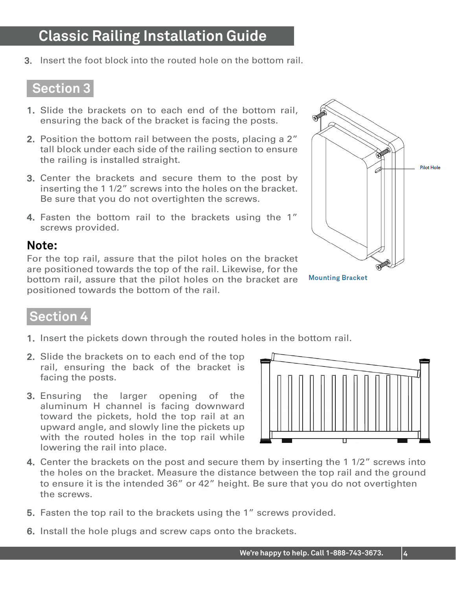### **Classic Railing Installation Guide**

3. Insert the foot block into the routed hole on the bottom rail.

#### **Section 3**

- 1. Slide the brackets on to each end of the bottom rail, ensuring the back of the bracket is facing the posts.
- 2. Position the bottom rail between the posts, placing a 2" tall block under each side of the railing section to ensure the railing is installed straight.
- 3. Center the brackets and secure them to the post by inserting the 1 1/2" screws into the holes on the bracket. Be sure that you do not overtighten the screws.
- 4. Fasten the bottom rail to the brackets using the 1" screws provided.

#### **Note:**

For the top rail, assure that the pilot holes on the bracket are positioned towards the top of the rail. Likewise, for the bottom rail, assure that the pilot holes on the bracket are positioned towards the bottom of the rail.



**Mounting Bracket** 

#### **Section 4**

- 1. Insert the pickets down through the routed holes in the bottom rail.
- 2. Slide the brackets on to each end of the top rail, ensuring the back of the bracket is facing the posts.
- 3. Ensuring the larger opening of the aluminum H channel is facing downward toward the pickets, hold the top rail at an upward angle, and slowly line the pickets up with the routed holes in the top rail while lowering the rail into place.



- 4. Center the brackets on the post and secure them by inserting the 1 1/2" screws into the holes on the bracket. Measure the distance between the top rail and the ground to ensure it is the intended 36" or 42" height. Be sure that you do not overtighten the screws.
- 5. Fasten the top rail to the brackets using the 1" screws provided.
- 6. Install the hole plugs and screw caps onto the brackets.